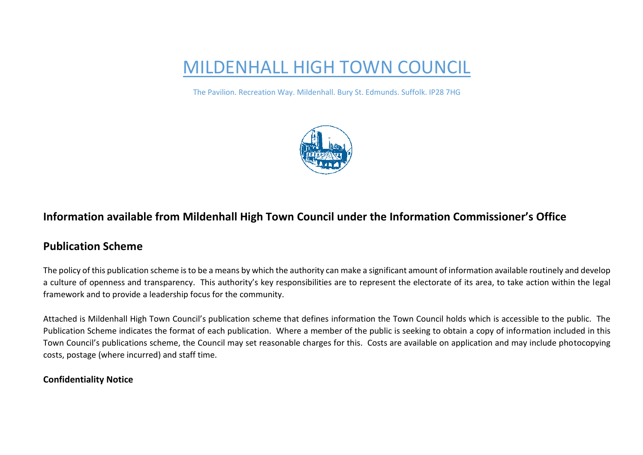# MILDENHALL HIGH TOWN COUNCIL

The Pavilion. Recreation Way. Mildenhall. Bury St. Edmunds. Suffolk. IP28 7HG



## **Information available from Mildenhall High Town Council under the Information Commissioner's Office**

### **Publication Scheme**

The policy of this publication scheme is to be a means by which the authority can make a significant amount of information available routinely and develop a culture of openness and transparency. This authority's key responsibilities are to represent the electorate of its area, to take action within the legal framework and to provide a leadership focus for the community.

Attached is Mildenhall High Town Council's publication scheme that defines information the Town Council holds which is accessible to the public. The Publication Scheme indicates the format of each publication. Where a member of the public is seeking to obtain a copy of information included in this Town Council's publications scheme, the Council may set reasonable charges for this. Costs are available on application and may include photocopying costs, postage (where incurred) and staff time.

#### **Confidentiality Notice**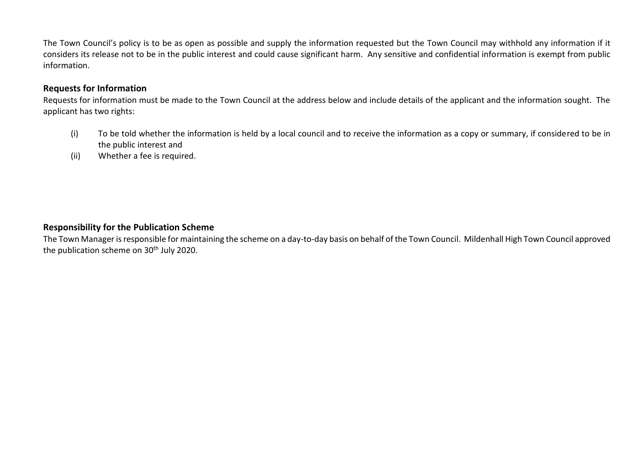The Town Council's policy is to be as open as possible and supply the information requested but the Town Council may withhold any information if it considers its release not to be in the public interest and could cause significant harm. Any sensitive and confidential information is exempt from public information.

#### **Requests for Information**

Requests for information must be made to the Town Council at the address below and include details of the applicant and the information sought. The applicant has two rights:

- (i) To be told whether the information is held by a local council and to receive the information as a copy or summary, if considered to be in the public interest and
- (ii) Whether a fee is required.

#### **Responsibility for the Publication Scheme**

The Town Manager is responsible for maintaining the scheme on a day-to-day basis on behalf of the Town Council. Mildenhall High Town Council approved the publication scheme on 30<sup>th</sup> July 2020.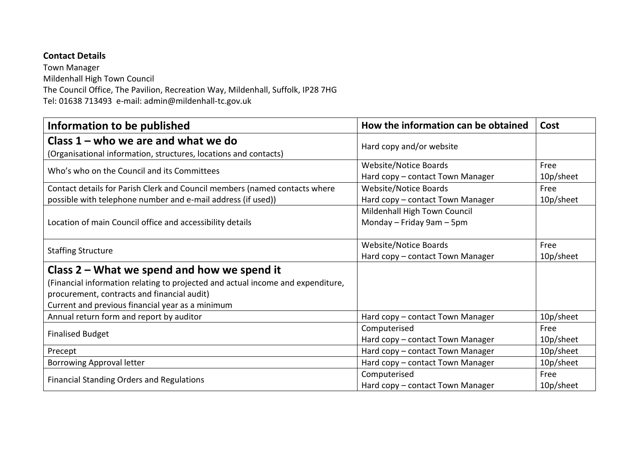#### **Contact Details**

Town Manager Mildenhall High Town Council The Council Office, The Pavilion, Recreation Way, Mildenhall, Suffolk, IP28 7HG Tel: 01638 713493 e-mail: admin@mildenhall-tc.gov.uk

| Information to be published                                                                                                                                                        | How the information can be obtained                              | Cost              |
|------------------------------------------------------------------------------------------------------------------------------------------------------------------------------------|------------------------------------------------------------------|-------------------|
| Class $1$ – who we are and what we do<br>(Organisational information, structures, locations and contacts)                                                                          | Hard copy and/or website                                         |                   |
| Who's who on the Council and its Committees                                                                                                                                        | Website/Notice Boards<br>Hard copy - contact Town Manager        | Free<br>10p/sheet |
| Contact details for Parish Clerk and Council members (named contacts where<br>possible with telephone number and e-mail address (if used))                                         | Website/Notice Boards<br>Hard copy - contact Town Manager        | Free<br>10p/sheet |
| Location of main Council office and accessibility details                                                                                                                          | Mildenhall High Town Council<br>Monday - Friday 9am - 5pm        |                   |
| <b>Staffing Structure</b>                                                                                                                                                          | <b>Website/Notice Boards</b><br>Hard copy - contact Town Manager | Free<br>10p/sheet |
| Class $2$ – What we spend and how we spend it                                                                                                                                      |                                                                  |                   |
| (Financial information relating to projected and actual income and expenditure,<br>procurement, contracts and financial audit)<br>Current and previous financial year as a minimum |                                                                  |                   |
| Annual return form and report by auditor                                                                                                                                           | Hard copy - contact Town Manager                                 | 10p/sheet         |
| Computerised<br><b>Finalised Budget</b><br>Hard copy - contact Town Manager                                                                                                        |                                                                  | Free<br>10p/sheet |
| Precept                                                                                                                                                                            | Hard copy - contact Town Manager                                 | 10p/sheet         |
| <b>Borrowing Approval letter</b>                                                                                                                                                   | Hard copy - contact Town Manager                                 | 10p/sheet         |
| <b>Financial Standing Orders and Regulations</b>                                                                                                                                   | Computerised<br>Hard copy - contact Town Manager                 | Free<br>10p/sheet |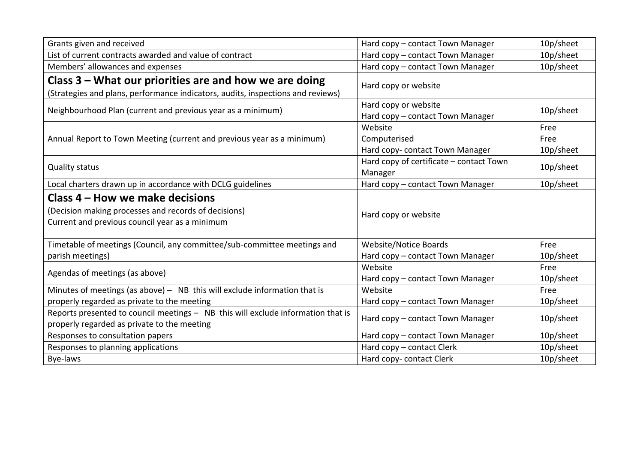| Grants given and received                                                                                                                 | 10p/sheet<br>Hard copy - contact Town Manager            |           |
|-------------------------------------------------------------------------------------------------------------------------------------------|----------------------------------------------------------|-----------|
| List of current contracts awarded and value of contract                                                                                   | Hard copy - contact Town Manager                         | 10p/sheet |
| Members' allowances and expenses                                                                                                          | Hard copy - contact Town Manager                         | 10p/sheet |
| Class $3$ – What our priorities are and how we are doing                                                                                  | Hard copy or website                                     |           |
| (Strategies and plans, performance indicators, audits, inspections and reviews)                                                           |                                                          |           |
| Neighbourhood Plan (current and previous year as a minimum)                                                                               | Hard copy or website<br>Hard copy - contact Town Manager | 10p/sheet |
|                                                                                                                                           | Website                                                  | Free      |
| Annual Report to Town Meeting (current and previous year as a minimum)                                                                    | Computerised                                             | Free      |
|                                                                                                                                           | Hard copy- contact Town Manager                          | 10p/sheet |
| <b>Quality status</b>                                                                                                                     | Hard copy of certificate - contact Town<br>Manager       | 10p/sheet |
| Local charters drawn up in accordance with DCLG guidelines                                                                                | Hard copy - contact Town Manager                         | 10p/sheet |
| Class 4 – How we make decisions<br>(Decision making processes and records of decisions)<br>Current and previous council year as a minimum | Hard copy or website                                     |           |
| Timetable of meetings (Council, any committee/sub-committee meetings and                                                                  | <b>Website/Notice Boards</b>                             | Free      |
| parish meetings)                                                                                                                          | Hard copy - contact Town Manager                         |           |
| Agendas of meetings (as above)                                                                                                            | Website                                                  | Free      |
|                                                                                                                                           | Hard copy - contact Town Manager                         | 10p/sheet |
| Minutes of meetings (as above) $-$ NB this will exclude information that is                                                               | Website                                                  | Free      |
| properly regarded as private to the meeting                                                                                               | Hard copy - contact Town Manager                         | 10p/sheet |
| Reports presented to council meetings - NB this will exclude information that is<br>properly regarded as private to the meeting           | Hard copy - contact Town Manager                         | 10p/sheet |
| Responses to consultation papers                                                                                                          | Hard copy - contact Town Manager                         | 10p/sheet |
| Responses to planning applications                                                                                                        | Hard copy - contact Clerk                                | 10p/sheet |
| Bye-laws                                                                                                                                  | 10p/sheet<br>Hard copy- contact Clerk                    |           |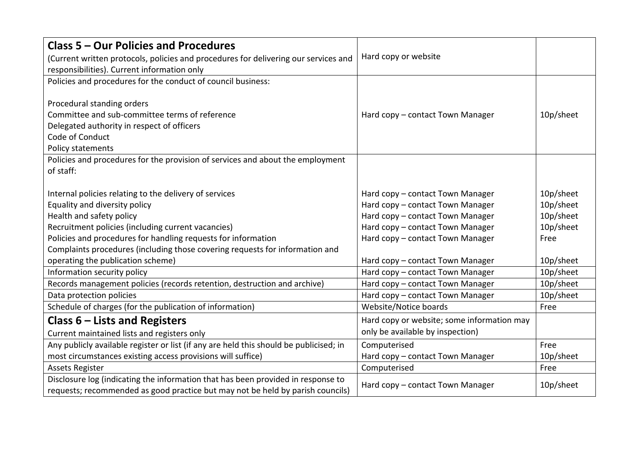| <b>Class 5 - Our Policies and Procedures</b>                                                      |                                               |           |  |
|---------------------------------------------------------------------------------------------------|-----------------------------------------------|-----------|--|
| (Current written protocols, policies and procedures for delivering our services and               | Hard copy or website                          |           |  |
| responsibilities). Current information only                                                       |                                               |           |  |
| Policies and procedures for the conduct of council business:                                      |                                               |           |  |
|                                                                                                   |                                               |           |  |
| Procedural standing orders                                                                        |                                               |           |  |
| Committee and sub-committee terms of reference                                                    | 10p/sheet<br>Hard copy - contact Town Manager |           |  |
| Delegated authority in respect of officers                                                        |                                               |           |  |
| Code of Conduct                                                                                   |                                               |           |  |
| Policy statements                                                                                 |                                               |           |  |
| Policies and procedures for the provision of services and about the employment                    |                                               |           |  |
| of staff:                                                                                         |                                               |           |  |
|                                                                                                   |                                               |           |  |
| Internal policies relating to the delivery of services                                            | Hard copy - contact Town Manager              | 10p/sheet |  |
| Equality and diversity policy                                                                     | Hard copy - contact Town Manager              | 10p/sheet |  |
| Health and safety policy                                                                          | Hard copy - contact Town Manager              |           |  |
| Recruitment policies (including current vacancies)                                                | Hard copy - contact Town Manager              | 10p/sheet |  |
| Policies and procedures for handling requests for information<br>Hard copy - contact Town Manager |                                               | Free      |  |
| Complaints procedures (including those covering requests for information and                      |                                               |           |  |
| operating the publication scheme)<br>Hard copy - contact Town Manager                             |                                               | 10p/sheet |  |
| Information security policy                                                                       | Hard copy - contact Town Manager              | 10p/sheet |  |
| Records management policies (records retention, destruction and archive)                          | Hard copy - contact Town Manager              | 10p/sheet |  |
| Data protection policies                                                                          | Hard copy - contact Town Manager              |           |  |
| Schedule of charges (for the publication of information)                                          | Website/Notice boards                         | Free      |  |
| Class $6$ – Lists and Registers                                                                   | Hard copy or website; some information may    |           |  |
| Current maintained lists and registers only                                                       | only be available by inspection)              |           |  |
| Any publicly available register or list (if any are held this should be publicised; in            | Computerised<br>Free                          |           |  |
| most circumstances existing access provisions will suffice)<br>Hard copy - contact Town Manager   |                                               | 10p/sheet |  |
| <b>Assets Register</b>                                                                            | Computerised<br>Free                          |           |  |
| Disclosure log (indicating the information that has been provided in response to                  |                                               |           |  |
| requests; recommended as good practice but may not be held by parish councils)                    | Hard copy - contact Town Manager              | 10p/sheet |  |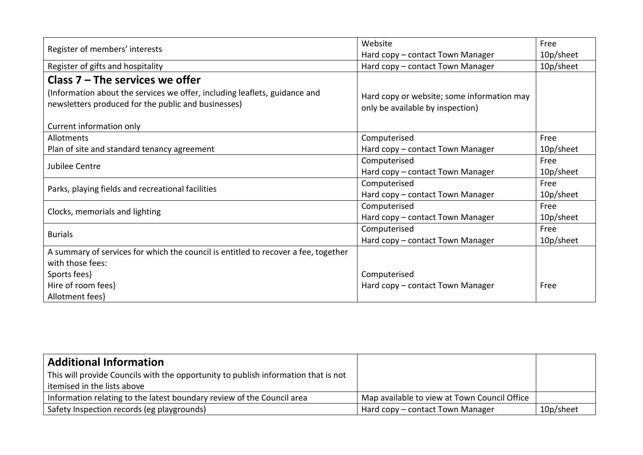|                                                                                                                                   | Website                                                                        | Free      |
|-----------------------------------------------------------------------------------------------------------------------------------|--------------------------------------------------------------------------------|-----------|
| Register of members' interests                                                                                                    | Hard copy - contact Town Manager                                               | 10p/sheet |
| Register of gifts and hospitality                                                                                                 | Hard copy - contact Town Manager                                               | 10p/sheet |
| Class $7 -$ The services we offer                                                                                                 |                                                                                |           |
| (Information about the services we offer, including leaflets, guidance and<br>newsletters produced for the public and businesses) | Hard copy or website; some information may<br>only be available by inspection) |           |
| Current information only                                                                                                          |                                                                                |           |
| Allotments                                                                                                                        | Computerised                                                                   | Free      |
| Plan of site and standard tenancy agreement                                                                                       | Hard copy - contact Town Manager                                               | 10p/sheet |
| Jubilee Centre                                                                                                                    | Computerised                                                                   | Free      |
|                                                                                                                                   | Hard copy - contact Town Manager                                               | 10p/sheet |
| Parks, playing fields and recreational facilities                                                                                 | Computerised                                                                   | Free      |
|                                                                                                                                   | Hard copy - contact Town Manager                                               | 10p/sheet |
| Clocks, memorials and lighting                                                                                                    | Computerised                                                                   | Free      |
|                                                                                                                                   | Hard copy - contact Town Manager                                               | 10p/sheet |
| <b>Burials</b>                                                                                                                    | Computerised                                                                   | Free      |
|                                                                                                                                   | Hard copy - contact Town Manager                                               | 10p/sheet |
| A summary of services for which the council is entitled to recover a fee, together                                                |                                                                                |           |
| with those fees:                                                                                                                  |                                                                                |           |
| Sports fees}                                                                                                                      | Computerised                                                                   |           |
| Hire of room fees}                                                                                                                | Hard copy - contact Town Manager                                               | Free      |
| Allotment fees}                                                                                                                   |                                                                                |           |

| <b>Additional Information</b>                                                      |                                              |           |
|------------------------------------------------------------------------------------|----------------------------------------------|-----------|
| This will provide Councils with the opportunity to publish information that is not |                                              |           |
| itemised in the lists above                                                        |                                              |           |
| Information relating to the latest boundary review of the Council area             | Map available to view at Town Council Office |           |
| Safety Inspection records (eg playgrounds)                                         | Hard copy – contact Town Manager             | 10p/sheet |